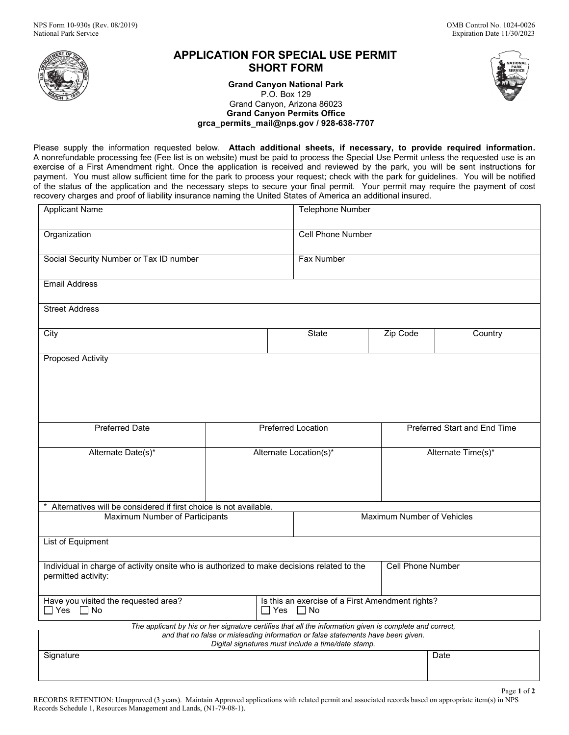

# **APPLICATION FOR SPECIAL USE PERMIT SHORT FORM**

**Grand Canyon National Park**  P.O. Box 129 Grand Canyon, Arizona 86023 **Grand Canyon Permits Office [grca\\_permits\\_mail@nps.gov](mailto:grca_permits_mail@nps.gov) / 928-638-7707**

 Please supply the information requested below. **Attach additional sheets, if necessary, to provide required information.**  A nonrefundable processing fee (Fee list is on website) must be paid to process the Special Use Permit unless the requested use is an<br>successive of a First Amerikant sight. Once the condication is associated and mainwed by exercise of a First Amendment right. Once the application is received and reviewed by the park, you will be sent instructions for<br>serviced a Verenigd allow outficient time for the neglets are seen www.servectories the sent payment. You must allow sufficient time for the park to process your request; check with the park for guidelines. You will be notified<br>of the statue of the englisation and the necessary stars to secure your final narmit. Y of the status of the application and the necessary steps to secure your final permit. Your permit may require the payment of cost recovery charges and proof of liability insurance naming the United States of America an additional insured.

| <b>Applicant Name</b>                                                                                                                                                                                                                             |                           |  | Telephone Number                                                            |                              |         |  |
|---------------------------------------------------------------------------------------------------------------------------------------------------------------------------------------------------------------------------------------------------|---------------------------|--|-----------------------------------------------------------------------------|------------------------------|---------|--|
| Organization                                                                                                                                                                                                                                      |                           |  | <b>Cell Phone Number</b>                                                    |                              |         |  |
| Social Security Number or Tax ID number                                                                                                                                                                                                           |                           |  | Fax Number                                                                  |                              |         |  |
| <b>Email Address</b>                                                                                                                                                                                                                              |                           |  |                                                                             |                              |         |  |
| <b>Street Address</b>                                                                                                                                                                                                                             |                           |  |                                                                             |                              |         |  |
| City                                                                                                                                                                                                                                              |                           |  | <b>State</b>                                                                | Zip Code                     | Country |  |
| <b>Proposed Activity</b>                                                                                                                                                                                                                          |                           |  |                                                                             |                              |         |  |
|                                                                                                                                                                                                                                                   |                           |  |                                                                             |                              |         |  |
|                                                                                                                                                                                                                                                   |                           |  |                                                                             |                              |         |  |
| <b>Preferred Date</b>                                                                                                                                                                                                                             | <b>Preferred Location</b> |  |                                                                             | Preferred Start and End Time |         |  |
| Alternate Date(s)*                                                                                                                                                                                                                                | Alternate Location(s)*    |  |                                                                             | Alternate Time(s)*           |         |  |
|                                                                                                                                                                                                                                                   |                           |  |                                                                             |                              |         |  |
|                                                                                                                                                                                                                                                   |                           |  |                                                                             |                              |         |  |
| Alternatives will be considered if first choice is not available.<br>Maximum Number of Vehicles                                                                                                                                                   |                           |  |                                                                             |                              |         |  |
| Maximum Number of Participants                                                                                                                                                                                                                    |                           |  |                                                                             |                              |         |  |
| List of Equipment                                                                                                                                                                                                                                 |                           |  |                                                                             |                              |         |  |
| Individual in charge of activity onsite who is authorized to make decisions related to the<br>permitted activity:                                                                                                                                 |                           |  |                                                                             | <b>Cell Phone Number</b>     |         |  |
| Have you visited the requested area?<br>$\Box$ Yes $\Box$ No                                                                                                                                                                                      |                           |  | Is this an exercise of a First Amendment rights?<br>$\Box$ Yes<br>$\Box$ No |                              |         |  |
| The applicant by his or her signature certifies that all the information given is complete and correct,<br>and that no false or misleading information or false statements have been given.<br>Digital signatures must include a time/date stamp. |                           |  |                                                                             |                              |         |  |
| Signature                                                                                                                                                                                                                                         |                           |  |                                                                             |                              | Date    |  |
|                                                                                                                                                                                                                                                   |                           |  |                                                                             |                              |         |  |